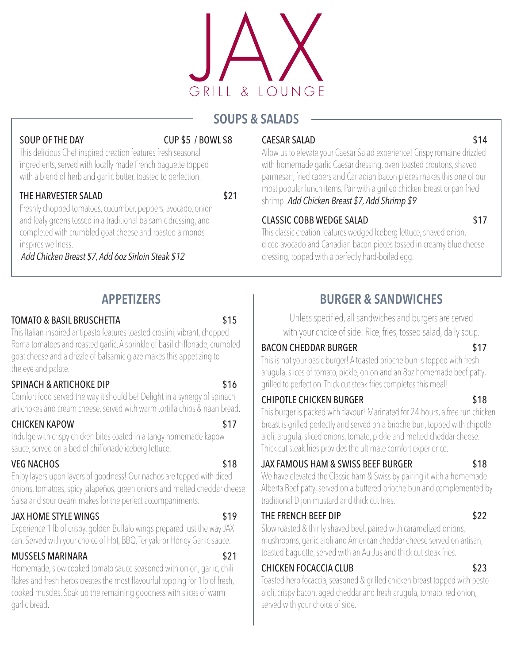

# SOUPS & SALADS

### SOUP OF THE DAY CUP \$5 / BOWL \$8

This delicious Chef inspired creation features fresh seasonal ingredients, served with locally made French baguette topped with a blend of herb and garlic butter, toasted to perfection.

### THE HARVESTER SALAD \$21

Freshly chopped tomatoes, cucumber, peppers, avocado, onion and leafy greens tossed in a traditional balsamic dressing, and completed with crumbled goat cheese and roasted almonds inspires wellness.

 *Add Chicken Breast \$7, Add 6oz Sirloin Steak \$12* 

# APPETIZERS

### TOMATO & BASIL BRUSCHETTA **\$15**

This Italian inspired antipasto features toasted crostini, vibrant, chopped Roma tomatoes and roasted garlic. A sprinkle of basil chiffonade, crumbled goat cheese and a drizzle of balsamic glaze makes this appetizing to the eye and palate.

### SPINACH & ARTICHOKE DIP \$16

Comfort food served the way it should be! Delight in a synergy of spinach, artichokes and cream cheese, served with warm tortilla chips & naan bread.

### CHICKEN KAPOW \$17

Indulge with crispy chicken bites coated in a tangy homemade kapow sauce, served on a bed of chiffonade iceberg lettuce.

# VEG NACHOS **\$18**

Enjoy layers upon layers of goodness! Our nachos are topped with diced onions, tomatoes, spicy jalapeños, green onions and melted cheddar cheese. Salsa and sour cream makes for the perfect accompaniments.

# JAX HOME STYLE WINGS \$19

Experience 1 lb of crispy, golden Buffalo wings prepared just the way JAX can. Served with your choice of Hot, BBQ, Teriyaki or Honey Garlic sauce.

# MUSSELS MARINARA \$21

Homemade, slow cooked tomato sauce seasoned with onion, garlic, chili flakes and fresh herbs creates the most flavourful topping for 1lb of fresh, cooked muscles. Soak up the remaining goodness with slices of warm garlic bread.

## CAESAR SALAD \$14

Allow us to elevate your Caesar Salad experience! Crispy romaine drizzled with homemade garlic Caesar dressing, oven toasted croutons, shaved parmesan, fried capers and Canadian bacon pieces makes this one of our most popular lunch items. Pair with a grilled chicken breast or pan fried shrimp! *Add Chicken Breast \$7, Add Shrimp \$9*

### CLASSIC COBB WEDGE SALAD \$17

This classic creation features wedged Iceberg lettuce, shaved onion, diced avocado and Canadian bacon pieces tossed in creamy blue cheese dressing, topped with a perfectly hard-boiled egg.

# BURGER & SANDWICHES

Unless specified, all sandwiches and burgers are served with your choice of side: Rice, fries, tossed salad, daily soup.

### BACON CHEDDAR BURGER \$17

This is not your basic burger! A toasted brioche bun is topped with fresh arugula, slices of tomato, pickle, onion and an 8oz homemade beef patty, grilled to perfection. Thick cut steak fries completes this meal!

## CHIPOTLE CHICKEN BURGER \$18

This burger is packed with flavour! Marinated for 24 hours, a free run chicken breast is grilled perfectly and served on a brioche bun, topped with chipotle aioli, arugula, sliced onions, tomato, pickle and melted cheddar cheese. Thick cut steak fries provides the ultimate comfort experience.

## JAX FAMOUS HAM & SWISS BEEF BURGER \$18

We have elevated the Classic ham & Swiss by pairing it with a homemade Alberta Beef patty, served on a buttered brioche bun and complemented by traditional Dijon mustard and thick cut fries.

### THE FRENCH BEEF DIP \$22

Slow roasted & thinly shaved beef, paired with caramelized onions, mushrooms, garlic aioli and American cheddar cheese served on artisan, toasted baguette, served with an Au Jus and thick cut steak fries.

## CHICKEN FOCACCIA CLUB \$23

Toasted herb focaccia, seasoned & grilled chicken breast topped with pesto aioli, crispy bacon, aged cheddar and fresh arugula, tomato, red onion, served with your choice of side.